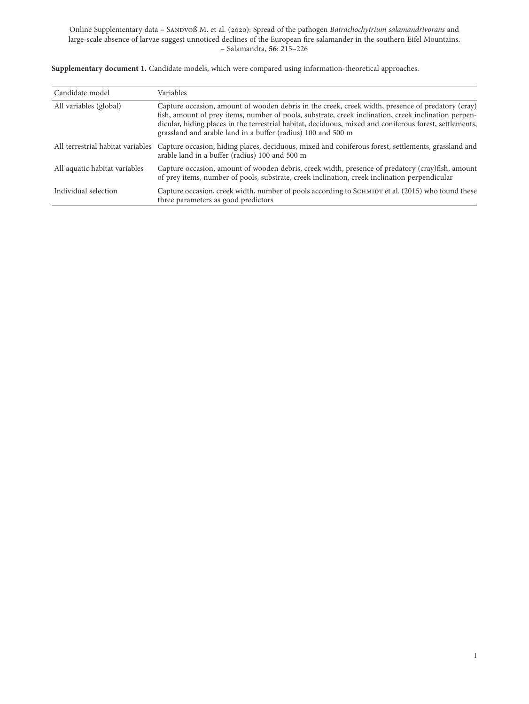| Candidate model               | Variables                                                                                                                                                                                                                                                                                                                                                                            |
|-------------------------------|--------------------------------------------------------------------------------------------------------------------------------------------------------------------------------------------------------------------------------------------------------------------------------------------------------------------------------------------------------------------------------------|
| All variables (global)        | Capture occasion, amount of wooden debris in the creek, creek width, presence of predatory (cray)<br>fish, amount of prey items, number of pools, substrate, creek inclination, creek inclination perpen-<br>dicular, hiding places in the terrestrial habitat, deciduous, mixed and coniferous forest, settlements,<br>grassland and arable land in a buffer (radius) 100 and 500 m |
|                               | All terrestrial habitat variables Capture occasion, hiding places, deciduous, mixed and coniferous forest, settlements, grassland and<br>arable land in a buffer (radius) 100 and 500 m                                                                                                                                                                                              |
| All aquatic habitat variables | Capture occasion, amount of wooden debris, creek width, presence of predatory (cray)fish, amount<br>of prey items, number of pools, substrate, creek inclination, creek inclination perpendicular                                                                                                                                                                                    |
| Individual selection          | Capture occasion, creek width, number of pools according to SCHMIDT et al. (2015) who found these<br>three parameters as good predictors                                                                                                                                                                                                                                             |

**Supplementary document 1.** Candidate models, which were compared using information-theoretical approaches.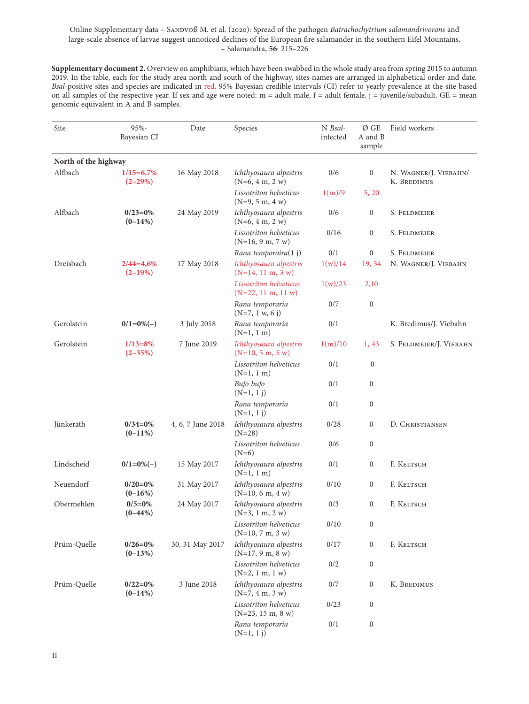**Supplementary document 2.** Overview on amphibians, which have been swabbed in the whole study area from spring 2015 to autumn 2019. In the table, each for the study area north and south of the highway, sites names are arranged in alphabetical order and date. *Bsal*-positive sites and species are indicated in red. 95% Bayesian credible intervals (CI) refer to yearly prevalence at the site based on all samples of the respective year. If sex and age were noted:  $m =$  adult male,  $f =$  adult female,  $j =$  juvenile/subadult. GE = mean genomic equivalent in A and B samples.

| Site                 | 95%-<br>Bayesian CI            | Date              | Species                                        | N Bsal-<br>infected | Ø GE<br>A and B<br>sample | Field workers                        |
|----------------------|--------------------------------|-------------------|------------------------------------------------|---------------------|---------------------------|--------------------------------------|
| North of the highway |                                |                   |                                                |                     |                           |                                      |
| Alfbach              | $1/15 = 6.7\%$<br>$(2 - 29\%)$ | 16 May 2018       | Ichthyosaura alpestris<br>$(N=6, 4 m, 2 w)$    | 0/6                 | $\bf{0}$                  | N. WAGNER/J. VIEBAHN/<br>K. BREDIMUS |
|                      |                                |                   | Lissotriton helveticus<br>$(N=9, 5 m, 4 w)$    | 1(m)/9              | 5, 20                     |                                      |
| Alfbach              | $0/23=0%$<br>$(0-14%)$         | 24 May 2019       | Ichthyosaura alpestris<br>$(N=6, 4 m, 2 w)$    | 0/6                 | $\boldsymbol{0}$          | S. FELDMEIER                         |
|                      |                                |                   | Lissotriton helveticus<br>$(N=16, 9 m, 7 w)$   | 0/16                | $\boldsymbol{0}$          | S. FELDMEIER                         |
|                      |                                |                   | Rana temporaira(1 j)                           | 0/1                 | $\boldsymbol{0}$          | S. Feldmeier                         |
| Dreisbach            | $2/44=4,6%$<br>$(2-19%)$       | 17 May 2018       | Ichthyosaura alpestris<br>$(N=14, 11 m, 3 w)$  | 1(w)/14             | 19, 54                    | N. WAGNER/J. VIEBAHN                 |
|                      |                                |                   | Lissotriton helveticus<br>$(N=22, 11 m, 11 w)$ | 1(w)/23             | 2,10                      |                                      |
|                      |                                |                   | Rana temporaria<br>$(N=7, 1 w, 6 j)$           | 0/7                 | $\boldsymbol{0}$          |                                      |
| Gerolstein           | $0/1=0%(-)$                    | 3 July 2018       | Rana temporaria<br>$(N=1, 1 m)$                | 0/1                 |                           | K. Bredimus/J. Viebahn               |
| Gerolstein           | $1/13 = 8\%$<br>$(2 - 35%)$    | 7 June 2019       | Ichthyosaura alpestris<br>$(N=10, 5 m, 5 w)$   | 1(m)/10             | 1, 43                     | S. FELDMEIER/J. VIEBAHN              |
|                      |                                |                   | Lissotriton helveticus<br>$(N=1, 1 m)$         | 0/1                 | $\boldsymbol{0}$          |                                      |
|                      |                                |                   | Bufo bufo<br>$(N=1, 1 j)$                      | 0/1                 | $\boldsymbol{0}$          |                                      |
|                      |                                |                   | Rana temporaria<br>$(N=1, 1 j)$                | 0/1                 | $\boldsymbol{0}$          |                                      |
| Jünkerath            | $0/34=0%$<br>$(0-11\%)$        | 4, 6, 7 June 2018 | Ichthyosaura alpestris<br>$(N=28)$             | 0/28                | $\boldsymbol{0}$          | D. CHRISTIANSEN                      |
|                      |                                |                   | Lissotriton helveticus<br>$(N=6)$              | 0/6                 | $\boldsymbol{0}$          |                                      |
| Lindscheid           | $0/1=0\%(-)$                   | 15 May 2017       | Ichthyosaura alpestris<br>$(N=1, 1 m)$         | 0/1                 | $\boldsymbol{0}$          | F. KELTSCH                           |
| Neuendorf            | $0/20=0%$<br>$(0-16%)$         | 31 May 2017       | Ichthyosaura alpestris<br>$(N=10, 6 m, 4 w)$   | 0/10                | $\boldsymbol{0}$          | F. KELTSCH                           |
| Obermehlen           | $0/5=0%$<br>$(0-44%)$          | 24 May 2017       | Ichthyosaura alpestris<br>$(N=3, 1 m, 2 w)$    | 0/3                 | $\boldsymbol{0}$          | F. Keltsch                           |
|                      |                                |                   | Lissotriton helveticus<br>$(N=10, 7 m, 3 w)$   | 0/10                | $\boldsymbol{0}$          |                                      |
| Prüm-Quelle          | $0/26=0%$<br>$(0-13%)$         | 30, 31 May 2017   | Ichthyosaura alpestris<br>$(N=17, 9 m, 8 w)$   | 0/17                | $\boldsymbol{0}$          | F. KELTSCH                           |
|                      |                                |                   | Lissotriton helveticus<br>$(N=2, 1 m, 1 w)$    | 0/2                 | $\boldsymbol{0}$          |                                      |
| Prüm-Quelle          | $0/22=0%$<br>$(0-14%)$         | 3 June 2018       | Ichthyosaura alpestris<br>$(N=7, 4 m, 3 w)$    | $0/7$               | $\boldsymbol{0}$          | K. BREDIMUS                          |
|                      |                                |                   | Lissotriton helveticus<br>$(N=23, 15 m, 8 w)$  | 0/23                | $\boldsymbol{0}$          |                                      |
|                      |                                |                   | Rana temporaria<br>$(N=1, 1 j)$                | $0/1$               | $\boldsymbol{0}$          |                                      |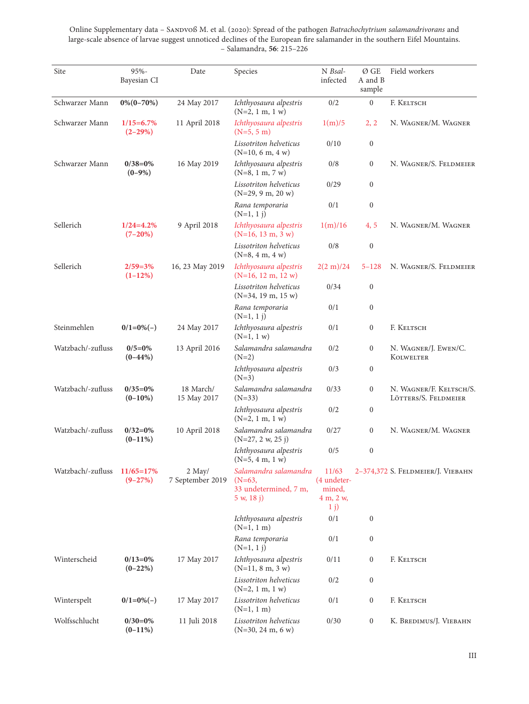| Site              | 95%-<br>Bayesian CI           | Date                       | Species                                                                  | N Bsal-<br>infected                         | Ø GE<br>A and B<br>sample | Field workers                                   |
|-------------------|-------------------------------|----------------------------|--------------------------------------------------------------------------|---------------------------------------------|---------------------------|-------------------------------------------------|
| Schwarzer Mann    | $0\%$ (0-70%)                 | 24 May 2017                | Ichthyosaura alpestris<br>$(N=2, 1 m, 1 w)$                              | 0/2                                         | $\boldsymbol{0}$          | F. Keltsch                                      |
| Schwarzer Mann    | $1/15 = 6.7\%$<br>$(2 - 29%)$ | 11 April 2018              | Ichthyosaura alpestris<br>$(N=5, 5 m)$                                   | 1(m)/5                                      | 2, 2                      | N. WAGNER/M. WAGNER                             |
|                   |                               |                            | Lissotriton helveticus<br>$(N=10, 6 m, 4 w)$                             | 0/10                                        | $\boldsymbol{0}$          |                                                 |
| Schwarzer Mann    | $0/38=0%$<br>$(0-9%)$         | 16 May 2019                | Ichthyosaura alpestris<br>$(N=8, 1 m, 7 w)$                              | 0/8                                         | $\boldsymbol{0}$          | N. WAGNER/S. FELDMEIER                          |
|                   |                               |                            | Lissotriton helveticus<br>$(N=29, 9 m, 20 w)$                            | 0/29                                        | $\boldsymbol{0}$          |                                                 |
|                   |                               |                            | Rana temporaria<br>$(N=1, 1 j)$                                          | 0/1                                         | $\boldsymbol{0}$          |                                                 |
| Sellerich         | $1/24 = 4.2\%$<br>$(7-20%)$   | 9 April 2018               | Ichthyosaura alpestris<br>$(N=16, 13 m, 3 w)$                            | 1(m)/16                                     | 4,5                       | N. WAGNER/M. WAGNER                             |
|                   |                               |                            | Lissotriton helveticus<br>$(N=8, 4 m, 4 w)$                              | 0/8                                         | $\boldsymbol{0}$          |                                                 |
| Sellerich         | $2/59=3%$<br>$(1-12%)$        | 16, 23 May 2019            | Ichthyosaura alpestris<br>$(N=16, 12 m, 12 w)$                           | $2(2 \text{ m})/24$                         | $5 - 128$                 | N. WAGNER/S. FELDMEIER                          |
|                   |                               |                            | Lissotriton helveticus<br>$(N=34, 19 m, 15 w)$                           | 0/34                                        | $\boldsymbol{0}$          |                                                 |
|                   |                               |                            | Rana temporaria<br>$(N=1, 1 j)$                                          | 0/1                                         | $\boldsymbol{0}$          |                                                 |
| Steinmehlen       | $0/1=0%(-)$                   | 24 May 2017                | Ichthyosaura alpestris<br>$(N=1, 1 w)$                                   | 0/1                                         | $\boldsymbol{0}$          | F. KELTSCH                                      |
| Watzbach/-zufluss | $0/5=0\%$<br>$(0-44%)$        | 13 April 2016              | Salamandra salamandra<br>$(N=2)$                                         | 0/2                                         | $\boldsymbol{0}$          | N. WAGNER/J. EWEN/C.<br>KOLWELTER               |
|                   |                               |                            | Ichthyosaura alpestris<br>$(N=3)$                                        | 0/3                                         | $\boldsymbol{0}$          |                                                 |
| Watzbach/-zufluss | $0/35=0%$<br>$(0-10\%)$       | 18 March/<br>15 May 2017   | Salamandra salamandra<br>$(N=33)$                                        | 0/33                                        | $\boldsymbol{0}$          | N. WAGNER/F. KELTSCH/S.<br>LÖTTERS/S. FELDMEIER |
|                   |                               |                            | Ichthyosaura alpestris<br>$(N=2, 1 m, 1 w)$                              | 0/2                                         | $\boldsymbol{0}$          |                                                 |
| Watzbach/-zufluss | $0/32=0%$<br>$(0-11\%)$       | 10 April 2018              | Salamandra salamandra<br>$(N=27, 2 w, 25 j)$                             | 0/27                                        | $\boldsymbol{0}$          | N. WAGNER/M. WAGNER                             |
|                   |                               |                            | Ichthyosaura alpestris<br>$(N=5, 4 m, 1 w)$                              | 0/5                                         | $\boldsymbol{0}$          |                                                 |
| Watzbach/-zufluss | $11/65 = 17%$<br>$(9 - 27%)$  | 2 May/<br>7 September 2019 | Salamandra salamandra<br>$(N=63,$<br>33 undetermined, 7 m,<br>5 w, 18 j) | 11/63<br>(4 undeter-<br>mined,<br>4 m, 2 w, |                           | 2-374,372 S. FELDMEIER/J. VIEBAHN               |
|                   |                               |                            | Ichthyosaura alpestris                                                   | $1 \; \mathrm{j})$<br>0/1                   | $\boldsymbol{0}$          |                                                 |
|                   |                               |                            | $(N=1, 1 m)$<br>Rana temporaria                                          | 0/1                                         | $\boldsymbol{0}$          |                                                 |
| Winterscheid      | $0/13=0%$                     | 17 May 2017                | $(N=1, 1 j)$<br>Ichthyosaura alpestris                                   | 0/11                                        | $\boldsymbol{0}$          | F. KELTSCH                                      |
|                   | $(0-22%)$                     |                            | $(N=11, 8 m, 3 w)$<br>Lissotriton helveticus                             | 0/2                                         | $\boldsymbol{0}$          |                                                 |
| Winterspelt       | $0/1=0\%(-)$                  | 17 May 2017                | $(N=2, 1 m, 1 w)$<br>Lissotriton helveticus                              | 0/1                                         | $\boldsymbol{0}$          | F. KELTSCH                                      |
|                   |                               |                            | $(N=1, 1 m)$                                                             |                                             |                           |                                                 |
| Wolfsschlucht     | $0/30=0%$<br>$(0-11\%)$       | 11 Juli 2018               | Lissotriton helveticus<br>$(N=30, 24 m, 6 w)$                            | 0/30                                        | $\boldsymbol{0}$          | K. BREDIMUS/J. VIEBAHN                          |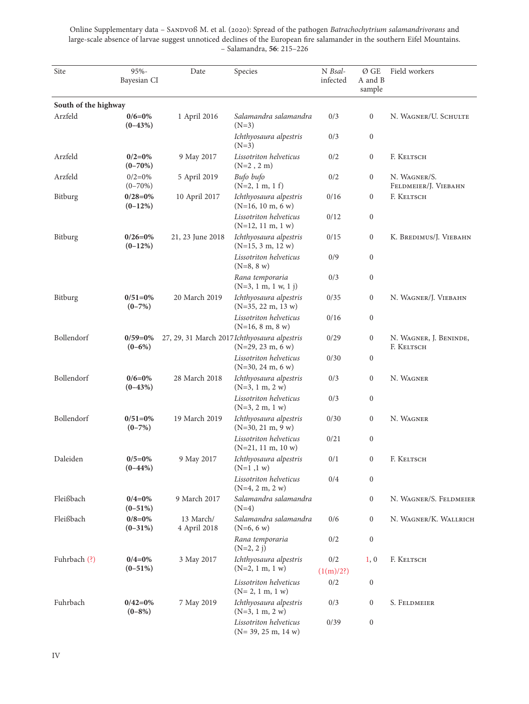| Site                 | 95%-<br>Bayesian CI       | Date                      | Species                                                             | N Bsal-<br>infected | Ø GE<br>A and B<br>sample | Field workers                        |
|----------------------|---------------------------|---------------------------|---------------------------------------------------------------------|---------------------|---------------------------|--------------------------------------|
| South of the highway |                           |                           |                                                                     |                     |                           |                                      |
| Arzfeld              | $0/6=0%$<br>$(0-43%)$     | 1 April 2016              | Salamandra salamandra<br>$(N=3)$                                    | 0/3                 | $\boldsymbol{0}$          | N. WAGNER/U. SCHULTE                 |
|                      |                           |                           | Ichthyosaura alpestris<br>$(N=3)$                                   | 0/3                 | $\boldsymbol{0}$          |                                      |
| Arzfeld              | $0/2=0%$<br>$(0-70%)$     | 9 May 2017                | Lissotriton helveticus<br>$(N=2, 2 m)$                              | 0/2                 | $\boldsymbol{0}$          | F. KELTSCH                           |
| Arzfeld              | $0/2=0%$<br>$(0-70%)$     | 5 April 2019              | Bufo bufo<br>$(N=2, 1 m, 1 f)$                                      | 0/2                 | $\boldsymbol{0}$          | N. WAGNER/S.<br>FELDMEIER/J. VIEBAHN |
| Bitburg              | $0/28=0%$<br>$(0-12%)$    | 10 April 2017             | Ichthyosaura alpestris<br>$(N=16, 10 m, 6 w)$                       | 0/16                | $\boldsymbol{0}$          | F. KELTSCH                           |
|                      |                           |                           | Lissotriton helveticus<br>$(N=12, 11 m, 1 w)$                       | 0/12                | $\boldsymbol{0}$          |                                      |
| Bitburg              | $0/26 = 0\%$<br>$(0-12%)$ | 21, 23 June 2018          | Ichthyosaura alpestris<br>$(N=15, 3 m, 12 w)$                       | 0/15                | $\boldsymbol{0}$          | K. BREDIMUS/J. VIEBAHN               |
|                      |                           |                           | Lissotriton helveticus<br>$(N=8, 8 w)$                              | 0/9                 | $\boldsymbol{0}$          |                                      |
|                      |                           |                           | Rana temporaria<br>$(N=3, 1 m, 1 w, 1 j)$                           | 0/3                 | $\boldsymbol{0}$          |                                      |
| Bitburg              | $0/51=0%$<br>$(0-7%)$     | 20 March 2019             | Ichthyosaura alpestris<br>$(N=35, 22 m, 13 w)$                      | 0/35                | $\boldsymbol{0}$          | N. WAGNER/J. VIEBAHN                 |
|                      |                           |                           | Lissotriton helveticus<br>$(N=16, 8 m, 8 w)$                        | 0/16                | $\boldsymbol{0}$          |                                      |
| Bollendorf           | $0/59=0%$<br>$(0-6%)$     |                           | 27, 29, 31 March 2017 Ichthyosaura alpestris<br>$(N=29, 23 m, 6 w)$ | 0/29                | $\boldsymbol{0}$          | N. WAGNER, J. BENINDE,<br>F. KELTSCH |
|                      |                           |                           | Lissotriton helveticus<br>$(N=30, 24 m, 6 w)$                       | 0/30                | $\boldsymbol{0}$          |                                      |
| Bollendorf           | $0/6=0%$<br>$(0-43%)$     | 28 March 2018             | Ichthyosaura alpestris<br>$(N=3, 1 m, 2 w)$                         | 0/3                 | $\boldsymbol{0}$          | N. WAGNER                            |
|                      |                           |                           | Lissotriton helveticus<br>$(N=3, 2 m, 1 w)$                         | 0/3                 | $\boldsymbol{0}$          |                                      |
| Bollendorf           | $0/51=0%$<br>$(0-7%)$     | 19 March 2019             | Ichthyosaura alpestris<br>$(N=30, 21 m, 9 w)$                       | 0/30                | $\boldsymbol{0}$          | N. WAGNER                            |
|                      |                           |                           | Lissotriton helveticus<br>$(N=21, 11 m, 10 w)$                      | 0/21                | $\boldsymbol{0}$          |                                      |
| Daleiden             | $0/5=0%$<br>$(0-44%)$     | 9 May 2017                | Ichthyosaura alpestris<br>$(N=1, 1 w)$                              | 0/1                 | $\boldsymbol{0}$          | F. KELTSCH                           |
|                      |                           |                           | Lissotriton helveticus<br>$(N=4, 2 m, 2 w)$                         | 0/4                 | $\boldsymbol{0}$          |                                      |
| Fleißbach            | $0/4=0%$<br>$(0-51%)$     | 9 March 2017              | Salamandra salamandra<br>$(N=4)$                                    |                     | $\boldsymbol{0}$          | N. WAGNER/S. FELDMEIER               |
| Fleißbach            | $0/8 = 0\%$<br>$(0-31\%)$ | 13 March/<br>4 April 2018 | Salamandra salamandra<br>$(N=6, 6 w)$                               | 0/6                 | $\boldsymbol{0}$          | N. WAGNER/K. WALLRICH                |
|                      |                           |                           | Rana temporaria<br>$(N=2, 2 j)$                                     | 0/2                 | $\boldsymbol{0}$          |                                      |
| Fuhrbach (?)         | $0/4=0\%$<br>$(0-51\%)$   | 3 May 2017                | Ichthyosaura alpestris<br>$(N=2, 1 m, 1 w)$                         | 0/2<br>(1(m)/2?)    | 1, 0                      | F. KELTSCH                           |
|                      |                           |                           | Lissotriton helveticus<br>$(N=2, 1 m, 1 w)$                         | 0/2                 | $\boldsymbol{0}$          |                                      |
| Fuhrbach             | $0/42 = 0%$<br>$(0-8%)$   | 7 May 2019                | Ichthyosaura alpestris<br>$(N=3, 1 m, 2 w)$                         | 0/3                 | $\boldsymbol{0}$          | S. FELDMEIER                         |
|                      |                           |                           | Lissotriton helveticus<br>$(N=39, 25 m, 14 w)$                      | 0/39                | $\boldsymbol{0}$          |                                      |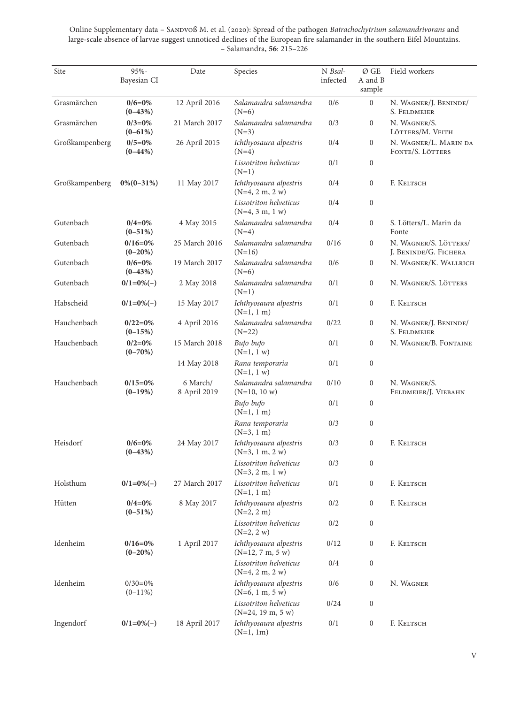Online Supplementary data - SANDVOß M. et al. (2020): Spread of the pathogen *Batrachochytrium salamandrivorans* and large-scale absence of larvae suggest unnoticed declines of the European fire salamander in the southern Eifel Mountains. – Salamandra, **56**: 215–226

| Site           | $95% -$<br>Bayesian CI     | Date                     | Species                                       | N Bsal-<br>infected | Ø GE<br>A and B<br>sample | Field workers                                  |
|----------------|----------------------------|--------------------------|-----------------------------------------------|---------------------|---------------------------|------------------------------------------------|
| Grasmärchen    | $0/6=0\%$<br>$(0-43%)$     | 12 April 2016            | Salamandra salamandra<br>$(N=6)$              | 0/6                 | $\boldsymbol{0}$          | N. WAGNER/J. BENINDE/<br>S. FELDMEIER          |
| Grasmärchen    | $0/3=0%$<br>$(0-61%)$      | 21 March 2017            | Salamandra salamandra<br>$(N=3)$              | 0/3                 | $\boldsymbol{0}$          | N. WAGNER/S.<br>LÖTTERS/M. VEITH               |
| Großkampenberg | $0/5=0%$<br>$(0-44%)$      | 26 April 2015            | Ichthyosaura alpestris<br>$(N=4)$             | 0/4                 | $\boldsymbol{0}$          | N. WAGNER/L. MARIN DA<br>FONTE/S. LÖTTERS      |
|                |                            |                          | Lissotriton helveticus<br>$(N=1)$             | 0/1                 | $\boldsymbol{0}$          |                                                |
| Großkampenberg | $0\%$ (0-31%)              | 11 May 2017              | Ichthyosaura alpestris<br>$(N=4, 2 m, 2 w)$   | 0/4                 | $\boldsymbol{0}$          | F. KELTSCH                                     |
|                |                            |                          | Lissotriton helveticus<br>$(N=4, 3 m, 1 w)$   | 0/4                 | $\boldsymbol{0}$          |                                                |
| Gutenbach      | $0/4=0\%$<br>$(0-51%)$     | 4 May 2015               | Salamandra salamandra<br>$(N=4)$              | 0/4                 | $\boldsymbol{0}$          | S. Lötters/L. Marin da<br>Fonte                |
| Gutenbach      | $0/16 = 0\%$<br>$(0-20\%)$ | 25 March 2016            | Salamandra salamandra<br>$(N=16)$             | 0/16                | $\boldsymbol{0}$          | N. WAGNER/S. LÖTTERS/<br>J. BENINDE/G. FICHERA |
| Gutenbach      | $0/6=0%$<br>$(0-43%)$      | 19 March 2017            | Salamandra salamandra<br>$(N=6)$              | 0/6                 | $\boldsymbol{0}$          | N. WAGNER/K. WALLRICH                          |
| Gutenbach      | $0/1=0\%(-)$               | 2 May 2018               | Salamandra salamandra<br>$(N=1)$              | 0/1                 | $\boldsymbol{0}$          | N. WAGNER/S. LÖTTERS                           |
| Habscheid      | $0/1=0\%(-)$               | 15 May 2017              | Ichthyosaura alpestris<br>$(N=1, 1 m)$        | 0/1                 | $\boldsymbol{0}$          | F. KELTSCH                                     |
| Hauchenbach    | $0/22=0%$<br>$(0-15%)$     | 4 April 2016             | Salamandra salamandra<br>$(N=22)$             | 0/22                | $\boldsymbol{0}$          | N. WAGNER/J. BENINDE/<br>S. FELDMEIER          |
| Hauchenbach    | $0/2=0%$<br>$(0-70%)$      | 15 March 2018            | Bufo bufo<br>$(N=1, 1 w)$                     | 0/1                 | $\boldsymbol{0}$          | N. WAGNER/B. FONTAINE                          |
|                |                            | 14 May 2018              | Rana temporaria<br>$(N=1, 1 w)$               | 0/1                 | $\boldsymbol{0}$          |                                                |
| Hauchenbach    | $0/15=0%$<br>$(0-19%)$     | 6 March/<br>8 April 2019 | Salamandra salamandra<br>$(N=10, 10 w)$       | 0/10                | $\boldsymbol{0}$          | N. WAGNER/S.<br>FELDMEIER/J. VIEBAHN           |
|                |                            |                          | Bufo bufo<br>$(N=1, 1 m)$                     | 0/1                 | $\boldsymbol{0}$          |                                                |
|                |                            |                          | Rana temporaria<br>$(N=3, 1 m)$               | 0/3                 | $\boldsymbol{0}$          |                                                |
| Heisdorf       | $0/6=0%$<br>$(0-43%)$      | 24 May 2017              | Ichthyosaura alpestris<br>$(N=3, 1 m, 2 w)$   | 0/3                 | $\boldsymbol{0}$          | F. KELTSCH                                     |
|                |                            |                          | Lissotriton helveticus<br>$(N=3, 2 m, 1 w)$   | 0/3                 | $\boldsymbol{0}$          |                                                |
| Holsthum       | $0/1=0%(-)$                | 27 March 2017            | Lissotriton helveticus<br>$(N=1, 1 m)$        | 0/1                 | $\boldsymbol{0}$          | F. KELTSCH                                     |
| Hütten         | $0/4=0%$<br>$(0-51%)$      | 8 May 2017               | Ichthyosaura alpestris<br>$(N=2, 2 m)$        | 0/2                 | $\boldsymbol{0}$          | F. KELTSCH                                     |
|                |                            |                          | Lissotriton helveticus<br>$(N=2, 2 w)$        | 0/2                 | $\boldsymbol{0}$          |                                                |
| Idenheim       | $0/16 = 0\%$<br>$(0-20%)$  | 1 April 2017             | Ichthyosaura alpestris<br>$(N=12, 7 m, 5 w)$  | 0/12                | $\boldsymbol{0}$          | F. KELTSCH                                     |
|                |                            |                          | Lissotriton helveticus<br>$(N=4, 2 m, 2 w)$   | 0/4                 | $\boldsymbol{0}$          |                                                |
| Idenheim       | $0/30=0%$<br>$(0-11\%)$    |                          | Ichthyosaura alpestris<br>$(N=6, 1 m, 5 w)$   | 0/6                 | $\boldsymbol{0}$          | N. WAGNER                                      |
|                |                            |                          | Lissotriton helveticus<br>$(N=24, 19 m, 5 w)$ | 0/24                | $\boldsymbol{0}$          |                                                |
| Ingendorf      | $0/1=0\%(-)$               | 18 April 2017            | Ichthyosaura alpestris<br>$(N=1, 1m)$         | 0/1                 | $\boldsymbol{0}$          | F. KELTSCH                                     |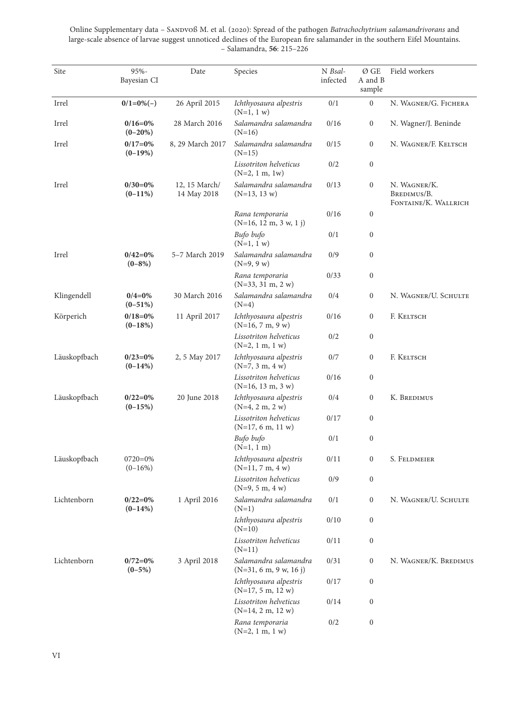Online Supplementary data - SANDVOß M. et al. (2020): Spread of the pathogen *Batrachochytrium salamandrivorans* and large-scale absence of larvae suggest unnoticed declines of the European fire salamander in the southern Eifel Mountains. – Salamandra, **56**: 215–226

| Site         | 95%-<br>Bayesian CI        | Date                         | Species                                           | N Bsal-<br>infected | Ø GE<br>A and B<br>sample | Field workers                                       |
|--------------|----------------------------|------------------------------|---------------------------------------------------|---------------------|---------------------------|-----------------------------------------------------|
| Irrel        | $0/1=0\%(-)$               | 26 April 2015                | Ichthyosaura alpestris<br>$(N=1, 1 w)$            | 0/1                 | $\mathbf{0}$              | N. WAGNER/G. FICHERA                                |
| Irrel        | $0/16 = 0\%$<br>$(0-20\%)$ | 28 March 2016                | Salamandra salamandra<br>$(N=16)$                 | 0/16                | $\boldsymbol{0}$          | N. Wagner/J. Beninde                                |
| Irrel        | $0/17=0%$<br>$(0-19%)$     | 8, 29 March 2017             | Salamandra salamandra<br>$(N=15)$                 | 0/15                | $\boldsymbol{0}$          | N. WAGNER/F. KELTSCH                                |
|              |                            |                              | Lissotriton helveticus<br>$(N=2, 1 m, 1 w)$       | 0/2                 | $\boldsymbol{0}$          |                                                     |
| Irrel        | $0/30=0%$<br>$(0-11\%)$    | 12, 15 March/<br>14 May 2018 | Salamandra salamandra<br>$(N=13, 13 w)$           | 0/13                | $\boldsymbol{0}$          | N. WAGNER/K.<br>BREDIMUS/B.<br>FONTAINE/K. WALLRICH |
|              |                            |                              | Rana temporaria<br>$(N=16, 12 m, 3 w, 1 j)$       | 0/16                | $\boldsymbol{0}$          |                                                     |
|              |                            |                              | Bufo bufo<br>$(N=1, 1 w)$                         | 0/1                 | $\boldsymbol{0}$          |                                                     |
| Irrel        | $0/42=0%$<br>$(0-8%)$      | 5-7 March 2019               | Salamandra salamandra<br>$(N=9, 9 w)$             | 0/9                 | $\boldsymbol{0}$          |                                                     |
|              |                            |                              | Rana temporaria<br>$(N=33, 31 m, 2 w)$            | 0/33                | $\boldsymbol{0}$          |                                                     |
| Klingendell  | $0/4=0%$<br>$(0-51\%)$     | 30 March 2016                | Salamandra salamandra<br>$(N=4)$                  | 0/4                 | $\boldsymbol{0}$          | N. WAGNER/U. SCHULTE                                |
| Körperich    | $0/18=0%$<br>$(0-18%)$     | 11 April 2017                | Ichthyosaura alpestris<br>$(N=16, 7 m, 9 w)$      | 0/16                | $\boldsymbol{0}$          | F. KELTSCH                                          |
|              |                            |                              | Lissotriton helveticus<br>$(N=2, 1 m, 1 w)$       | 0/2                 | $\boldsymbol{0}$          |                                                     |
| Läuskopfbach | $0/23=0%$<br>$(0-14%)$     | 2, 5 May 2017                | Ichthyosaura alpestris<br>$(N=7, 3 m, 4 w)$       | 0/7                 | $\boldsymbol{0}$          | F. Keltsch                                          |
|              |                            |                              | Lissotriton helveticus<br>$(N=16, 13 m, 3 w)$     | 0/16                | $\boldsymbol{0}$          |                                                     |
| Läuskopfbach | $0/22=0%$<br>$(0-15%)$     | 20 June 2018                 | Ichthyosaura alpestris<br>$(N=4, 2 m, 2 w)$       | 0/4                 | $\boldsymbol{0}$          | K. BREDIMUS                                         |
|              |                            |                              | Lissotriton helveticus<br>$(N=17, 6 m, 11 w)$     | 0/17                | $\boldsymbol{0}$          |                                                     |
|              |                            |                              | Bufo bufo<br>$(N=1, 1 m)$                         | 0/1                 | $\boldsymbol{0}$          |                                                     |
| Läuskopfbach | $0720=0%$<br>$(0-16%)$     |                              | Ichthyosaura alpestris<br>$(N=11, 7 m, 4 w)$      | 0/11                | 0                         | S. FELDMEIER                                        |
|              |                            |                              | Lissotriton helveticus<br>$(N=9, 5 m, 4 w)$       | 0/9                 | $\boldsymbol{0}$          |                                                     |
| Lichtenborn  | $0/22=0%$<br>$(0-14%)$     | 1 April 2016                 | Salamandra salamandra<br>$(N=1)$                  | 0/1                 | $\boldsymbol{0}$          | N. WAGNER/U. SCHULTE                                |
|              |                            |                              | Ichthyosaura alpestris<br>$(N=10)$                | 0/10                | $\boldsymbol{0}$          |                                                     |
|              |                            |                              | Lissotriton helveticus<br>$(N=11)$                | 0/11                | $\boldsymbol{0}$          |                                                     |
| Lichtenborn  | $0/72=0%$<br>$(0-5%)$      | 3 April 2018                 | Salamandra salamandra<br>$(N=31, 6 m, 9 w, 16 j)$ | 0/31                | $\boldsymbol{0}$          | N. WAGNER/K. BREDIMUS                               |
|              |                            |                              | Ichthyosaura alpestris<br>$(N=17, 5 m, 12 w)$     | 0/17                | $\boldsymbol{0}$          |                                                     |
|              |                            |                              | Lissotriton helveticus<br>$(N=14, 2 m, 12 w)$     | 0/14                | $\boldsymbol{0}$          |                                                     |
|              |                            |                              | Rana temporaria<br>$(N=2, 1 m, 1 w)$              | 0/2                 | $\boldsymbol{0}$          |                                                     |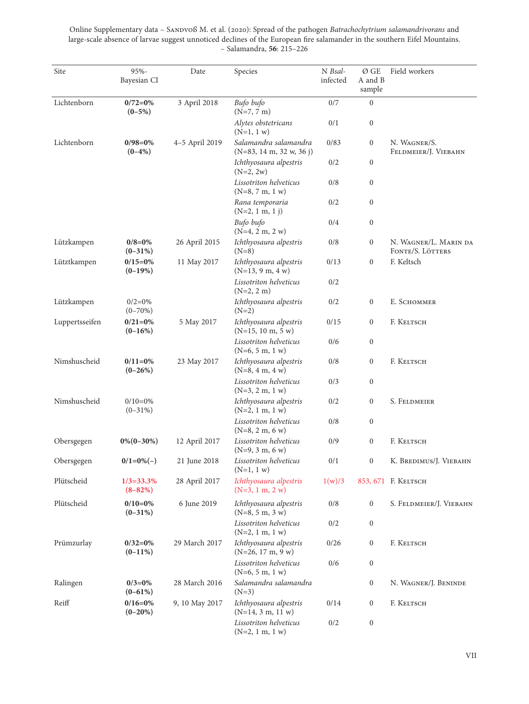| Site           | 95%-<br>Bayesian CI            | Date           | Species                                             | N Bsal-<br>infected | Ø GE<br>A and B<br>sample | Field workers                             |
|----------------|--------------------------------|----------------|-----------------------------------------------------|---------------------|---------------------------|-------------------------------------------|
| Lichtenborn    | $0/72=0%$<br>$(0-5%)$          | 3 April 2018   | Bufo bufo<br>$(N=7, 7 m)$                           | 0/7                 | $\boldsymbol{0}$          |                                           |
|                |                                |                | Alytes obstetricans<br>$(N=1, 1 w)$                 | 0/1                 | $\boldsymbol{0}$          |                                           |
| Lichtenborn    | $0/98=0%$<br>$(0-4%)$          | 4-5 April 2019 | Salamandra salamandra<br>$(N=83, 14 m, 32 w, 36 j)$ | 0/83                | $\boldsymbol{0}$          | N. WAGNER/S.<br>FELDMEIER/J. VIEBAHN      |
|                |                                |                | Ichthyosaura alpestris<br>$(N=2, 2w)$               | 0/2                 | $\boldsymbol{0}$          |                                           |
|                |                                |                | Lissotriton helveticus<br>$(N=8, 7 m, 1 w)$         | 0/8                 | $\boldsymbol{0}$          |                                           |
|                |                                |                | Rana temporaria<br>$(N=2, 1 m, 1 j)$                | 0/2                 | $\boldsymbol{0}$          |                                           |
|                |                                |                | Bufo bufo<br>$(N=4, 2 m, 2 w)$                      | 0/4                 | $\boldsymbol{0}$          |                                           |
| Lützkampen     | $0/8 = 0\%$<br>$(0-31\%)$      | 26 April 2015  | Ichthyosaura alpestris<br>$(N=8)$                   | 0/8                 | $\boldsymbol{0}$          | N. WAGNER/L. MARIN DA<br>FONTE/S. LÖTTERS |
| Lütztkampen    | $0/15=0%$<br>$(0-19%)$         | 11 May 2017    | Ichthyosaura alpestris<br>$(N=13, 9 m, 4 w)$        | 0/13                | $\boldsymbol{0}$          | F. Keltsch                                |
|                |                                |                | Lissotriton helveticus<br>$(N=2, 2 m)$              | 0/2                 |                           |                                           |
| Lützkampen     | $0/2=0%$<br>$(0-70%)$          |                | Ichthyosaura alpestris<br>$(N=2)$                   | 0/2                 | $\boldsymbol{0}$          | E. SCHOMMER                               |
| Luppertsseifen | $0/21=0%$<br>$(0-16%)$         | 5 May 2017     | Ichthyosaura alpestris<br>$(N=15, 10 m, 5 w)$       | 0/15                | $\boldsymbol{0}$          | F. KELTSCH                                |
|                |                                |                | Lissotriton helveticus<br>$(N=6, 5 m, 1 w)$         | 0/6                 | $\boldsymbol{0}$          |                                           |
| Nimshuscheid   | $0/11=0%$<br>$(0-26%)$         | 23 May 2017    | Ichthyosaura alpestris<br>$(N=8, 4 m, 4 w)$         | 0/8                 | $\boldsymbol{0}$          | F. KELTSCH                                |
|                |                                |                | Lissotriton helveticus<br>$(N=3, 2 m, 1 w)$         | 0/3                 | $\boldsymbol{0}$          |                                           |
| Nimshuscheid   | $0/10=0%$<br>$(0-31\%)$        |                | Ichthyosaura alpestris<br>$(N=2, 1 m, 1 w)$         | 0/2                 | $\boldsymbol{0}$          | S. FELDMEIER                              |
|                |                                |                | Lissotriton helveticus<br>$(N=8, 2 m, 6 w)$         | 0/8                 | $\boldsymbol{0}$          |                                           |
| Obersgegen     | $0\%$ (0-30%)                  | 12 April 2017  | Lissotriton helveticus<br>$(N=9, 3 m, 6 w)$         | 0/9                 | $\boldsymbol{0}$          | F. KELTSCH                                |
| Obersgegen     | $0/1=0\%(-)$                   | 21 June 2018   | Lissotriton helveticus<br>$(N=1, 1 w)$              | $0/1$               | $\boldsymbol{0}$          | K. BREDIMUS/J. VIEBAHN                    |
| Plütscheid     | $1/3 = 33.3\%$<br>$(8 - 82\%)$ | 28 April 2017  | Ichthyosaura alpestris<br>$(N=3, 1 m, 2 w)$         | 1(w)/3              |                           |                                           |
| Plütscheid     | $0/10=0%$<br>$(0-31\%)$        | 6 June 2019    | Ichthyosaura alpestris<br>$(N=8, 5 m, 3 w)$         | 0/8                 | $\boldsymbol{0}$          | S. FELDMEIER/J. VIEBAHN                   |
|                |                                |                | Lissotriton helveticus<br>$(N=2, 1 m, 1 w)$         | 0/2                 | $\boldsymbol{0}$          |                                           |
| Prümzurlay     | $0/32=0%$<br>$(0-11\%)$        | 29 March 2017  | Ichthyosaura alpestris<br>$(N=26, 17 m, 9 w)$       | 0/26                | $\boldsymbol{0}$          | F. KELTSCH                                |
|                |                                |                | Lissotriton helveticus<br>$(N=6, 5 m, 1 w)$         | 0/6                 | $\boldsymbol{0}$          |                                           |
| Ralingen       | $0/3=0%$<br>$(0-61\%)$         | 28 March 2016  | Salamandra salamandra<br>$(N=3)$                    |                     | $\boldsymbol{0}$          | N. WAGNER/J. BENINDE                      |
| Reiff          | $0/16=0%$<br>$(0-20\%)$        | 9, 10 May 2017 | Ichthyosaura alpestris<br>$(N=14, 3 m, 11 w)$       | 0/14                | $\boldsymbol{0}$          | F. KELTSCH                                |
|                |                                |                | Lissotriton helveticus<br>$(N=2, 1 m, 1 w)$         | 0/2                 | $\boldsymbol{0}$          |                                           |